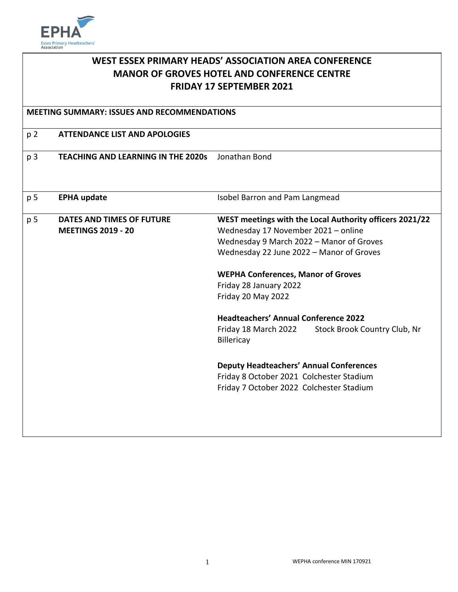

| WEST ESSEX PRIMARY HEADS' ASSOCIATION AREA CONFERENCE<br><b>MANOR OF GROVES HOTEL AND CONFERENCE CENTRE</b><br><b>FRIDAY 17 SEPTEMBER 2021</b> |                                                               |                                                                                                                                                                                                                                                                                                                                                                                                                                                                                                                                                    |
|------------------------------------------------------------------------------------------------------------------------------------------------|---------------------------------------------------------------|----------------------------------------------------------------------------------------------------------------------------------------------------------------------------------------------------------------------------------------------------------------------------------------------------------------------------------------------------------------------------------------------------------------------------------------------------------------------------------------------------------------------------------------------------|
| <b>MEETING SUMMARY: ISSUES AND RECOMMENDATIONS</b>                                                                                             |                                                               |                                                                                                                                                                                                                                                                                                                                                                                                                                                                                                                                                    |
| p 2                                                                                                                                            | <b>ATTENDANCE LIST AND APOLOGIES</b>                          |                                                                                                                                                                                                                                                                                                                                                                                                                                                                                                                                                    |
| p <sub>3</sub>                                                                                                                                 | <b>TEACHING AND LEARNING IN THE 2020s</b>                     | Jonathan Bond                                                                                                                                                                                                                                                                                                                                                                                                                                                                                                                                      |
| p 5                                                                                                                                            | <b>EPHA update</b>                                            | Isobel Barron and Pam Langmead                                                                                                                                                                                                                                                                                                                                                                                                                                                                                                                     |
| p 5                                                                                                                                            | <b>DATES AND TIMES OF FUTURE</b><br><b>MEETINGS 2019 - 20</b> | WEST meetings with the Local Authority officers 2021/22<br>Wednesday 17 November 2021 - online<br>Wednesday 9 March 2022 - Manor of Groves<br>Wednesday 22 June 2022 - Manor of Groves<br><b>WEPHA Conferences, Manor of Groves</b><br>Friday 28 January 2022<br>Friday 20 May 2022<br><b>Headteachers' Annual Conference 2022</b><br>Friday 18 March 2022<br>Stock Brook Country Club, Nr<br>Billericay<br><b>Deputy Headteachers' Annual Conferences</b><br>Friday 8 October 2021 Colchester Stadium<br>Friday 7 October 2022 Colchester Stadium |
|                                                                                                                                                |                                                               |                                                                                                                                                                                                                                                                                                                                                                                                                                                                                                                                                    |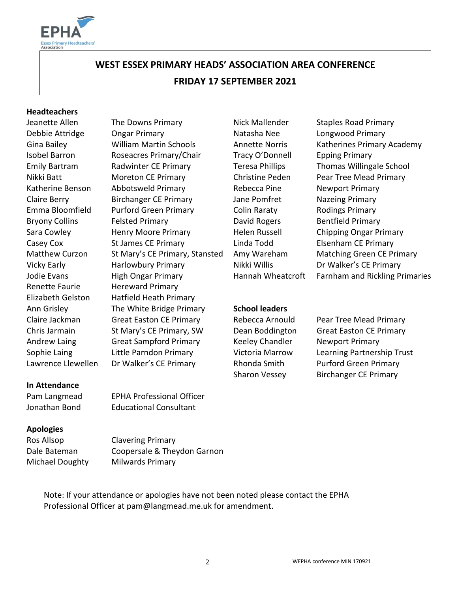

# **WEST ESSEX PRIMARY HEADS' ASSOCIATION AREA CONFERENCE FRIDAY 17 SEPTEMBER 2021**

#### **Headteachers**

Renette Faurie Hereward Primary

Debbie Attridge Ongar Primary Natasha Nee Longwood Primary Gina Bailey **Milliam Martin Schools** Annette Norris Katherines Primary Academy Isobel Barron Roseacres Primary/Chair Tracy O'Donnell Epping Primary Emily Bartram Radwinter CE Primary Teresa Phillips Thomas Willingale School Nikki Batt Moreton CE Primary Christine Peden Pear Tree Mead Primary Katherine Benson Abbotsweld Primary The Rebecca Pine Newport Primary Claire Berry Birchanger CE Primary Jane Pomfret Nazeing Primary Emma Bloomfield Purford Green Primary Colin Raraty Rodings Primary Bryony Collins Felsted Primary **David Rogers** Bentfield Primary Sara Cowley Henry Moore Primary Helen Russell Chipping Ongar Primary Casey Cox St James CE Primary Linda Todd Elsenham CE Primary Matthew Curzon St Mary's CE Primary, Stansted Amy Wareham Matching Green CE Primary Vicky Early **Harlowbury Primary Nikki Willis** Dr Walker's CE Primary Elizabeth Gelston Hatfield Heath Primary Ann Grisley The White Bridge Primary **School leaders** Claire Jackman Great Easton CE Primary Rebecca Arnould Pear Tree Mead Primary Chris Jarmain St Mary's CE Primary, SW Dean Boddington Great Easton CE Primary Andrew Laing **Great Sampford Primary** Keeley Chandler **Newport Primary** Sophie Laing Little Parndon Primary Victoria Marrow Learning Partnership Trust

#### **In Attendance**

Pam Langmead EPHA Professional Officer Jonathan Bond Educational Consultant

#### **Apologies**

Ros Allsop Clavering Primary

Dale Bateman Coopersale & Theydon Garnon Michael Doughty Milwards Primary

Note: If your attendance or apologies have not been noted please contact the EPHA Professional Officer at pam@langmead.me.uk for amendment.

Jeanette Allen The Downs Primary Nick Mallender Staples Road Primary Jodie Evans **High Ongar Primary** Hannah Wheatcroft Farnham and Rickling Primaries

Lawrence Llewellen Dr Walker's CE Primary **Rhonda Smith** Purford Green Primary Sharon Vessey Birchanger CE Primary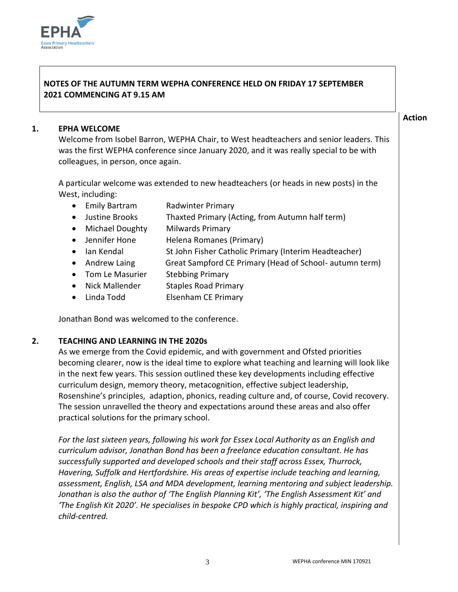#### **NOTES OF THE AUTUMN TERM WEPHA CONFERENCE HELD ON FRIDAY 17 SEPTEMBER 2021 COMMENCING AT 9.15 AM**

#### **1. EPHA WELCOME**

Welcome from Isobel Barron, WEPHA Chair, to West headteachers and senior leaders. This was the first WEPHA conference since January 2020, and it was really special to be with colleagues, in person, once again.

A particular welcome was extended to new headteachers (or heads in new posts) in the West, including:

- Emily Bartram Radwinter Primary
- Justine Brooks Thaxted Primary (Acting, from Autumn half term)
- Michael Doughty Milwards Primary
- Jennifer Hone Helena Romanes (Primary)
- Ian Kendal St John Fisher Catholic Primary (Interim Headteacher)
- Andrew Laing Great Sampford CE Primary (Head of School- autumn term)
- Tom Le Masurier Stebbing Primary
- Nick Mallender Staples Road Primary
- Linda Todd Elsenham CE Primary

Jonathan Bond was welcomed to the conference.

#### **2. TEACHING AND LEARNING IN THE 2020s**

As we emerge from the Covid epidemic, and with government and Ofsted priorities becoming clearer, now is the ideal time to explore what teaching and learning will look like in the next few years. This session outlined these key developments including effective curriculum design, memory theory, metacognition, effective subject leadership, Rosenshine's principles, adaption, phonics, reading culture and, of course, Covid recovery. The session unravelled the theory and expectations around these areas and also offer practical solutions for the primary school.

*For the last sixteen years, following his work for Essex Local Authority as an English and curriculum advisor, Jonathan Bond has been a freelance education consultant. He has successfully supported and developed schools and their staff across Essex, Thurrock, Havering, Suffolk and Hertfordshire. His areas of expertise include teaching and learning, assessment, English, LSA and MDA development, learning mentoring and subject leadership. Jonathan is also the author of 'The English Planning Kit', 'The English Assessment Kit' and 'The English Kit 2020'. He specialises in bespoke CPD which is highly practical, inspiring and child-centred.*



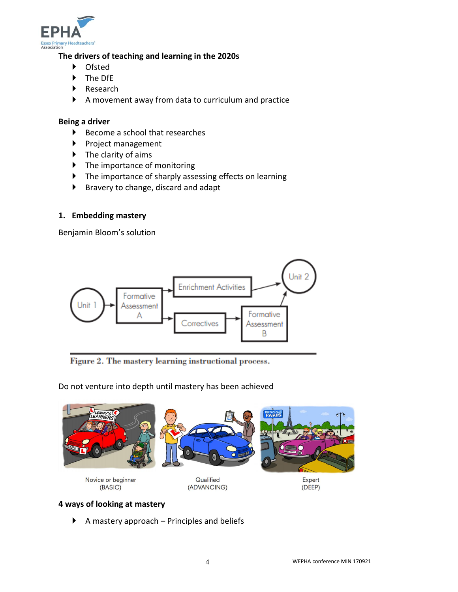

#### **The drivers of teaching and learning in the 2020s**

- Ofsted
- ▶ The DfE
- ▶ Research
- A movement away from data to curriculum and practice

#### **Being a driver**

- $\blacktriangleright$  Become a school that researches
- Project management
- $\blacktriangleright$  The clarity of aims
- ▶ The importance of monitoring
- ▶ The importance of sharply assessing effects on learning
- $\blacktriangleright$  Bravery to change, discard and adapt

#### **1. Embedding mastery**

Benjamin Bloom's solution



Figure 2. The mastery learning instructional process.

Do not venture into depth until mastery has been achieved



## **4 ways of looking at mastery**

 $\blacktriangleright$  A mastery approach – Principles and beliefs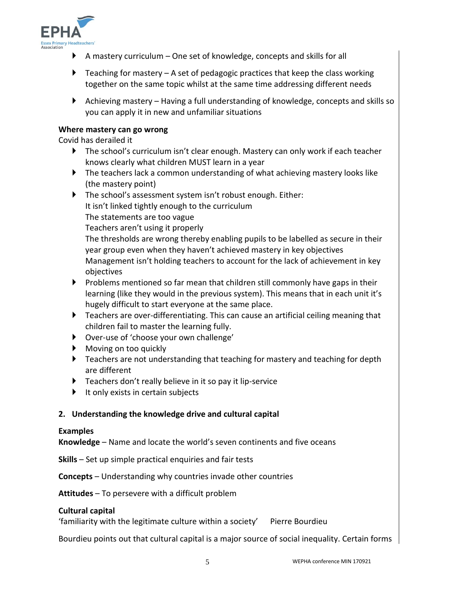

- $\blacktriangleright$  A mastery curriculum One set of knowledge, concepts and skills for all
- $\blacktriangleright$  Teaching for mastery A set of pedagogic practices that keep the class working together on the same topic whilst at the same time addressing different needs
- Achieving mastery Having a full understanding of knowledge, concepts and skills so you can apply it in new and unfamiliar situations

#### **Where mastery can go wrong**

Covid has derailed it

- ▶ The school's curriculum isn't clear enough. Mastery can only work if each teacher knows clearly what children MUST learn in a year
- The teachers lack a common understanding of what achieving mastery looks like (the mastery point)
- The school's assessment system isn't robust enough. Either:

It isn't linked tightly enough to the curriculum

The statements are too vague

Teachers aren't using it properly

The thresholds are wrong thereby enabling pupils to be labelled as secure in their year group even when they haven't achieved mastery in key objectives Management isn't holding teachers to account for the lack of achievement in key objectives

- $\blacktriangleright$  Problems mentioned so far mean that children still commonly have gaps in their learning (like they would in the previous system). This means that in each unit it's hugely difficult to start everyone at the same place.
- Teachers are over-differentiating. This can cause an artificial ceiling meaning that children fail to master the learning fully.
- Over-use of 'choose your own challenge'
- **Moving on too quickly**
- **Feachers are not understanding that teaching for mastery and teaching for depth** are different
- **Teachers don't really believe in it so pay it lip-service**
- $\blacktriangleright$  It only exists in certain subjects

#### **2. Understanding the knowledge drive and cultural capital**

#### **Examples**

**Knowledge** – Name and locate the world's seven continents and five oceans

**Skills** – Set up simple practical enquiries and fair tests

**Concepts** – Understanding why countries invade other countries

**Attitudes** – To persevere with a difficult problem

#### **Cultural capital**

'familiarity with the legitimate culture within a society' Pierre Bourdieu

Bourdieu points out that cultural capital is a major source of social inequality. Certain forms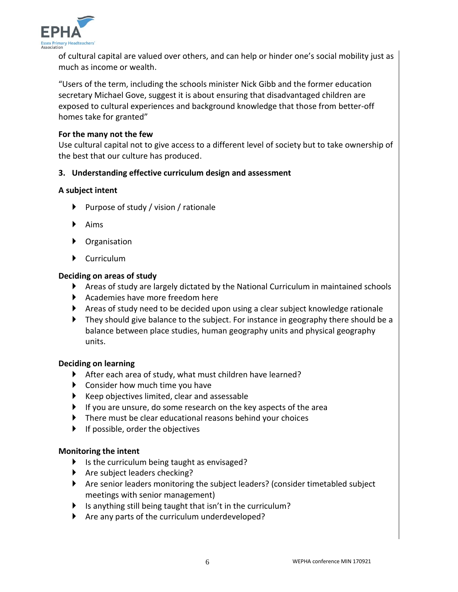

of cultural capital are valued over others, and can help or hinder one's social mobility just as much as income or wealth.

"Users of the term, including the schools minister Nick Gibb and the former education secretary Michael Gove, suggest it is about ensuring that disadvantaged children are exposed to cultural experiences and background knowledge that those from better-off homes take for granted"

#### **For the many not the few**

Use cultural capital not to give access to a different level of society but to take ownership of the best that our culture has produced.

#### **3. Understanding effective curriculum design and assessment**

#### **A subject intent**

- Purpose of study / vision / rationale
- $\blacktriangleright$  Aims
- ▶ Organisation
- Curriculum

#### **Deciding on areas of study**

- Areas of study are largely dictated by the National Curriculum in maintained schools
- Academies have more freedom here
- Areas of study need to be decided upon using a clear subject knowledge rationale
- ▶ They should give balance to the subject. For instance in geography there should be a balance between place studies, human geography units and physical geography units.

#### **Deciding on learning**

- After each area of study, what must children have learned?
- ▶ Consider how much time you have
- $\blacktriangleright$  Keep objectives limited, clear and assessable
- $\blacktriangleright$  If you are unsure, do some research on the key aspects of the area
- There must be clear educational reasons behind your choices
- $\blacktriangleright$  If possible, order the objectives

#### **Monitoring the intent**

- Is the curriculum being taught as envisaged?
- $\blacktriangleright$  Are subject leaders checking?
- Are senior leaders monitoring the subject leaders? (consider timetabled subject meetings with senior management)
- If is anything still being taught that isn't in the curriculum?
- $\blacktriangleright$  Are any parts of the curriculum underdeveloped?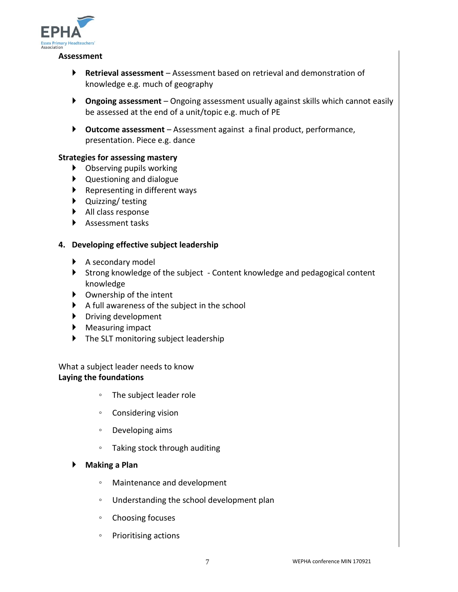

#### **Assessment**

- **Retrieval assessment**  Assessment based on retrieval and demonstration of knowledge e.g. much of geography
- **Ongoing assessment**  Ongoing assessment usually against skills which cannot easily be assessed at the end of a unit/topic e.g. much of PE
- **Outcome assessment**  Assessment against a final product, performance, presentation. Piece e.g. dance

#### **Strategies for assessing mastery**

- Observing pupils working
- Questioning and dialogue
- $\blacktriangleright$  Representing in different ways
- ▶ Quizzing/ testing
- All class response
- ▶ Assessment tasks

#### **4. Developing effective subject leadership**

- ▶ A secondary model
- Strong knowledge of the subject Content knowledge and pedagogical content knowledge
- Ownership of the intent
- $\blacktriangleright$  A full awareness of the subject in the school
- Driving development
- ▶ Measuring impact
- ▶ The SLT monitoring subject leadership

What a subject leader needs to know **Laying the foundations**

- The subject leader role
- Considering vision
- Developing aims
- Taking stock through auditing
- **Making a Plan**
	- Maintenance and development
	- Understanding the school development plan
	- Choosing focuses
	- Prioritising actions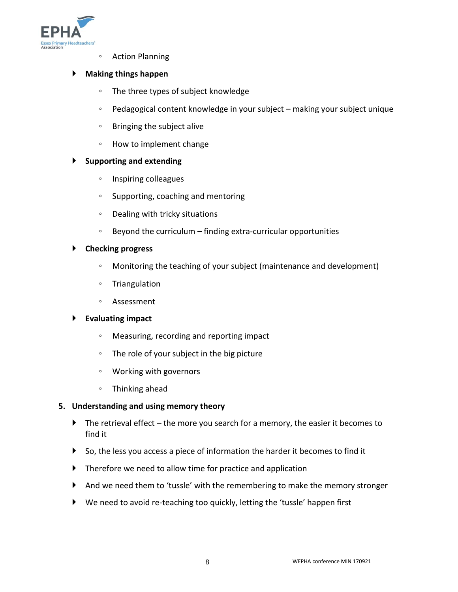

◦ Action Planning

#### **Making things happen**

- The three types of subject knowledge
- Pedagogical content knowledge in your subject making your subject unique
- Bringing the subject alive
- How to implement change

#### **Supporting and extending**

- Inspiring colleagues
- Supporting, coaching and mentoring
- Dealing with tricky situations
- Beyond the curriculum finding extra-curricular opportunities

#### **Checking progress**

- Monitoring the teaching of your subject (maintenance and development)
- Triangulation
- Assessment

#### **Evaluating impact**

- Measuring, recording and reporting impact
- The role of your subject in the big picture
- Working with governors
- Thinking ahead

#### **5. Understanding and using memory theory**

- $\blacktriangleright$  The retrieval effect the more you search for a memory, the easier it becomes to find it
- $\triangleright$  So, the less you access a piece of information the harder it becomes to find it
- **Therefore we need to allow time for practice and application**
- And we need them to 'tussle' with the remembering to make the memory stronger
- We need to avoid re-teaching too quickly, letting the 'tussle' happen first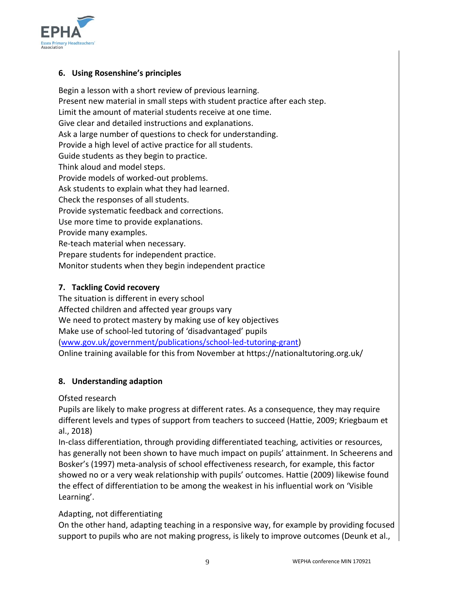

#### **6. Using Rosenshine's principles**

Begin a lesson with a short review of previous learning. Present new material in small steps with student practice after each step. Limit the amount of material students receive at one time. Give clear and detailed instructions and explanations. Ask a large number of questions to check for understanding. Provide a high level of active practice for all students. Guide students as they begin to practice. Think aloud and model steps. Provide models of worked-out problems. Ask students to explain what they had learned. Check the responses of all students. Provide systematic feedback and corrections. Use more time to provide explanations. Provide many examples. Re-teach material when necessary. Prepare students for independent practice. Monitor students when they begin independent practice

#### **7. Tackling Covid recovery**

The situation is different in every school Affected children and affected year groups vary We need to protect mastery by making use of key objectives Make use of school-led tutoring of 'disadvantaged' pupils [\(www.gov.uk/government/publications/school-led-tutoring-grant\)](http://www.gov.uk/government/publications/school-led-tutoring-grant) Online training available for this from November at https://nationaltutoring.org.uk/

#### **8. Understanding adaption**

Ofsted research

Pupils are likely to make progress at different rates. As a consequence, they may require different levels and types of support from teachers to succeed (Hattie, 2009; Kriegbaum et al., 2018)

In-class differentiation, through providing differentiated teaching, activities or resources, has generally not been shown to have much impact on pupils' attainment. In Scheerens and Bosker's (1997) meta-analysis of school effectiveness research, for example, this factor showed no or a very weak relationship with pupils' outcomes. Hattie (2009) likewise found the effect of differentiation to be among the weakest in his influential work on 'Visible Learning'.

#### Adapting, not differentiating

On the other hand, adapting teaching in a responsive way, for example by providing focused support to pupils who are not making progress, is likely to improve outcomes (Deunk et al.,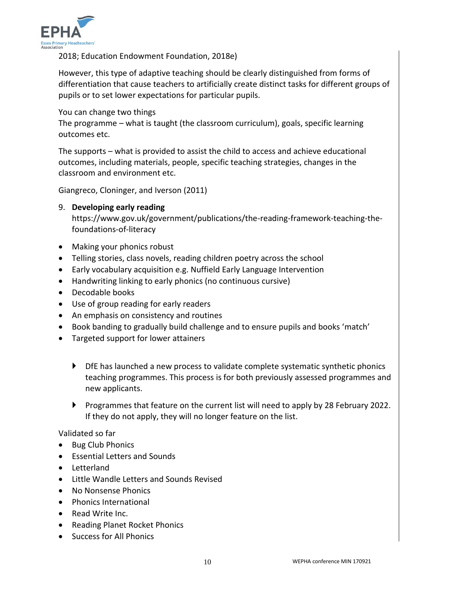

2018; Education Endowment Foundation, 2018e)

However, this type of adaptive teaching should be clearly distinguished from forms of differentiation that cause teachers to artificially create distinct tasks for different groups of pupils or to set lower expectations for particular pupils.

You can change two things

The programme – what is taught (the classroom curriculum), goals, specific learning outcomes etc.

The supports – what is provided to assist the child to access and achieve educational outcomes, including materials, people, specific teaching strategies, changes in the classroom and environment etc.

Giangreco, Cloninger, and Iverson (2011)

#### 9. **Developing early reading**

https://www.gov.uk/government/publications/the-reading-framework-teaching-thefoundations-of-literacy

- Making your phonics robust
- Telling stories, class novels, reading children poetry across the school
- Early vocabulary acquisition e.g. Nuffield Early Language Intervention
- Handwriting linking to early phonics (no continuous cursive)
- Decodable books
- Use of group reading for early readers
- An emphasis on consistency and routines
- Book banding to gradually build challenge and to ensure pupils and books 'match'
- Targeted support for lower attainers
	- $\blacktriangleright$  DfE has launched a new process to validate complete systematic synthetic phonics teaching programmes. This process is for both previously assessed programmes and new applicants.
	- Programmes that feature on the current list will need to apply by 28 February 2022. If they do not apply, they will no longer feature on the list.

Validated so far

- Bug Club Phonics
- Essential Letters and Sounds
- Letterland
- Little Wandle Letters and Sounds Revised
- No Nonsense Phonics
- Phonics International
- Read Write Inc.
- Reading Planet Rocket Phonics
- Success for All Phonics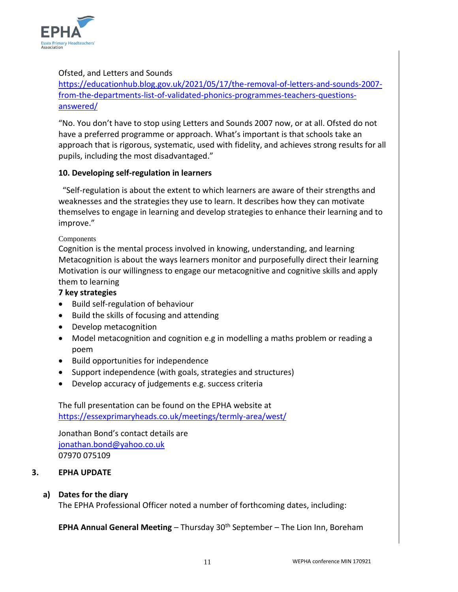

#### Ofsted, and Letters and Sounds

[https://educationhub.blog.gov.uk/2021/05/17/the-removal-of-letters-and-sounds-2007](https://educationhub.blog.gov.uk/2021/05/17/the-removal-of-letters-and-sounds-2007-from-the-departments-list-of-validated-phonics-programmes-teachers-questions-answered/) [from-the-departments-list-of-validated-phonics-programmes-teachers-questions](https://educationhub.blog.gov.uk/2021/05/17/the-removal-of-letters-and-sounds-2007-from-the-departments-list-of-validated-phonics-programmes-teachers-questions-answered/)[answered/](https://educationhub.blog.gov.uk/2021/05/17/the-removal-of-letters-and-sounds-2007-from-the-departments-list-of-validated-phonics-programmes-teachers-questions-answered/)

"No. You don't have to stop using Letters and Sounds 2007 now, or at all. Ofsted do not have a preferred programme or approach. What's important is that schools take an approach that is rigorous, systematic, used with fidelity, and achieves strong results for all pupils, including the most disadvantaged."

#### **10. Developing self-regulation in learners**

 "Self-regulation is about the extent to which learners are aware of their strengths and weaknesses and the strategies they use to learn. It describes how they can motivate themselves to engage in learning and develop strategies to enhance their learning and to improve."

#### Components

Cognition is the mental process involved in knowing, understanding, and learning Metacognition is about the ways learners monitor and purposefully direct their learning Motivation is our willingness to engage our metacognitive and cognitive skills and apply them to learning

#### **7 key strategies**

- Build self-regulation of behaviour
- Build the skills of focusing and attending
- Develop metacognition
- Model metacognition and cognition e.g in modelling a maths problem or reading a poem
- Build opportunities for independence
- Support independence (with goals, strategies and structures)
- Develop accuracy of judgements e.g. success criteria

The full presentation can be found on the EPHA website at <https://essexprimaryheads.co.uk/meetings/termly-area/west/>

Jonathan Bond's contact details are [jonathan.bond@yahoo.co.uk](mailto:jonathan.bond@yahoo.co.uk) 07970 075109

#### **3. EPHA UPDATE**

#### **a) Dates for the diary**

The EPHA Professional Officer noted a number of forthcoming dates, including:

**EPHA Annual General Meeting** – Thursday 30<sup>th</sup> September – The Lion Inn, Boreham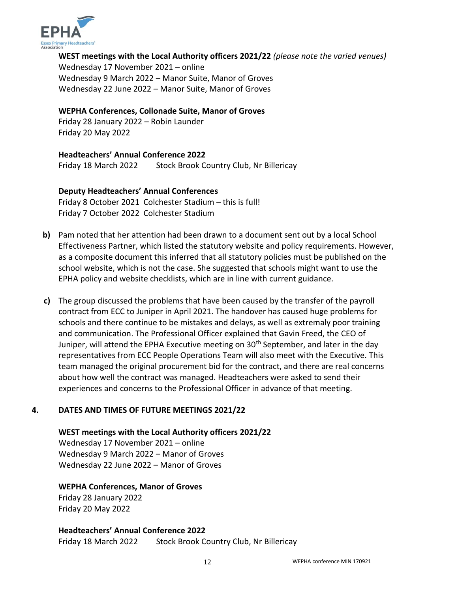

**WEST meetings with the Local Authority officers 2021/22** *(please note the varied venues)* Wednesday 17 November 2021 – online Wednesday 9 March 2022 – Manor Suite, Manor of Groves Wednesday 22 June 2022 – Manor Suite, Manor of Groves

#### **WEPHA Conferences, Collonade Suite, Manor of Groves**

Friday 28 January 2022 – Robin Launder Friday 20 May 2022

#### **Headteachers' Annual Conference 2022**

Friday 18 March 2022 Stock Brook Country Club, Nr Billericay

#### **Deputy Headteachers' Annual Conferences**

Friday 8 October 2021 Colchester Stadium – this is full! Friday 7 October 2022 Colchester Stadium

- **b)** Pam noted that her attention had been drawn to a document sent out by a local School Effectiveness Partner, which listed the statutory website and policy requirements. However, as a composite document this inferred that all statutory policies must be published on the school website, which is not the case. She suggested that schools might want to use the EPHA policy and website checklists, which are in line with current guidance.
- **c)** The group discussed the problems that have been caused by the transfer of the payroll contract from ECC to Juniper in April 2021. The handover has caused huge problems for schools and there continue to be mistakes and delays, as well as extremaly poor training and communication. The Professional Officer explained that Gavin Freed, the CEO of Juniper, will attend the EPHA Executive meeting on 30<sup>th</sup> September, and later in the day representatives from ECC People Operations Team will also meet with the Executive. This team managed the original procurement bid for the contract, and there are real concerns about how well the contract was managed. Headteachers were asked to send their experiences and concerns to the Professional Officer in advance of that meeting.

#### **4. DATES AND TIMES OF FUTURE MEETINGS 2021/22**

**WEST meetings with the Local Authority officers 2021/22**  Wednesday 17 November 2021 – online Wednesday 9 March 2022 – Manor of Groves Wednesday 22 June 2022 – Manor of Groves

#### **WEPHA Conferences, Manor of Groves**

Friday 28 January 2022 Friday 20 May 2022

#### **Headteachers' Annual Conference 2022** Friday 18 March 2022 Stock Brook Country Club, Nr Billericay